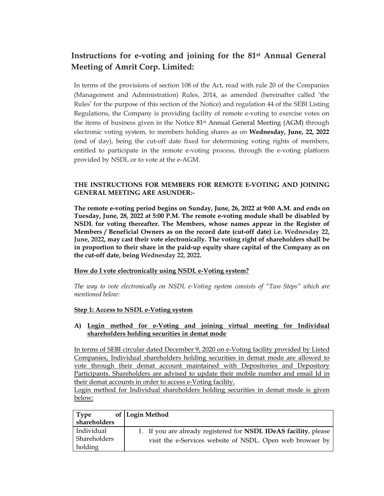# **Instructions for e-voting and joining for the 81st Annual General Meeting of Amrit Corp. Limited:**

In terms of the provisions of section 108 of the Act, read with rule 20 of the Companies (Management and Administration) Rules, 2014, as amended (hereinafter called 'the Rules' for the purpose of this section of the Notice) and regulation 44 of the SEBI Listing Regulations, the Company is providing facility of remote e-voting to exercise votes on the items of business given in the Notice 81st Annual General Meeting (AGM) through electronic voting system, to members holding shares as on **Wednesday, June, 22, 2022** (end of day), being the cut-off date fixed for determining voting rights of members, entitled to participate in the remote e-voting process, through the e-voting platform provided by NSDL or to vote at the e-AGM.

#### **THE INSTRUCTIONS FOR MEMBERS FOR REMOTE E-VOTING AND JOINING GENERAL MEETING ARE ASUNDER:-**

**The remote e-voting period begins on Sunday, June, 26, 2022 at 9:00 A.M. and ends on Tuesday, June, 28, 2022 at 5:00 P.M. The remote e-voting module shall be disabled by NSDL for voting thereafter. The Members, whose names appear in the Register of Members / Beneficial Owners as on the record date (cut-off date) i.e. Wednesday 22, June, 2022, may cast their vote electronically. The voting right of shareholders shall be in proportion to their share in the paid-up equity share capital of the Company as on the cut-off date, being Wednesday 22, 2022.** 

#### **How do I vote electronically using NSDL e-Voting system?**

*The way to vote electronically on NSDL e-Voting system consists of "Two Steps" which are mentioned below:* 

#### **Step 1: Access to NSDL e-Voting system**

#### **A) Login method for e-Voting and joining virtual meeting for Individual shareholders holding securities in demat mode**

In terms of SEBI circular dated December 9, 2020 on e-Voting facility provided by Listed Companies, Individual shareholders holding securities in demat mode are allowed to vote through their demat account maintained with Depositories and Depository Participants. Shareholders are advised to update their mobile number and email Id in their demat accounts in order to access e-Voting facility.

Login method for Individual shareholders holding securities in demat mode is given below:

| <b>Type</b>  | of Login Method                                                  |
|--------------|------------------------------------------------------------------|
| shareholders |                                                                  |
| Individual   | 1. If you are already registered for NSDL IDeAS facility, please |
| Shareholders | visit the e-Services website of NSDL. Open web browser by        |
| holding      |                                                                  |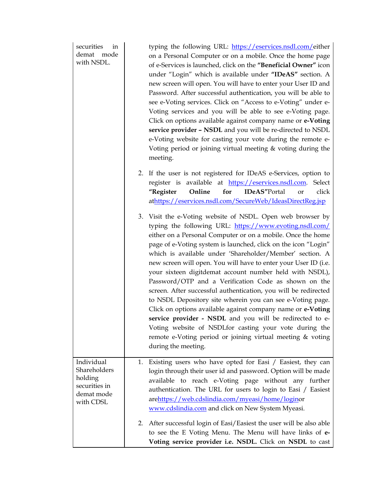| securities<br>in<br>demat mode<br>with NSDL.                                      | typing the following URL: https://eservices.nsdl.com/either<br>on a Personal Computer or on a mobile. Once the home page<br>of e-Services is launched, click on the "Beneficial Owner" icon<br>under "Login" which is available under "IDeAS" section. A<br>new screen will open. You will have to enter your User ID and<br>Password. After successful authentication, you will be able to<br>see e-Voting services. Click on "Access to e-Voting" under e-<br>Voting services and you will be able to see e-Voting page.<br>Click on options available against company name or e-Voting<br>service provider - NSDL and you will be re-directed to NSDL<br>e-Voting website for casting your vote during the remote e-<br>Voting period or joining virtual meeting $&$ voting during the<br>meeting.                                                                                                               |
|-----------------------------------------------------------------------------------|---------------------------------------------------------------------------------------------------------------------------------------------------------------------------------------------------------------------------------------------------------------------------------------------------------------------------------------------------------------------------------------------------------------------------------------------------------------------------------------------------------------------------------------------------------------------------------------------------------------------------------------------------------------------------------------------------------------------------------------------------------------------------------------------------------------------------------------------------------------------------------------------------------------------|
|                                                                                   | 2. If the user is not registered for IDeAS e-Services, option to<br>register is available at https://eservices.nsdl.com.<br>Select<br>for<br>click<br>"Register<br>Online<br><b>IDeAS"Portal</b><br>or<br>athttps://eservices.nsdl.com/SecureWeb/IdeasDirectReg.jsp                                                                                                                                                                                                                                                                                                                                                                                                                                                                                                                                                                                                                                                 |
|                                                                                   | 3. Visit the e-Voting website of NSDL. Open web browser by<br>typing the following URL: https://www.evoting.nsdl.com/<br>either on a Personal Computer or on a mobile. Once the home<br>page of e-Voting system is launched, click on the icon "Login"<br>which is available under 'Shareholder/Member' section. A<br>new screen will open. You will have to enter your User ID (i.e.<br>your sixteen digitdemat account number held with NSDL),<br>Password/OTP and a Verification Code as shown on the<br>screen. After successful authentication, you will be redirected<br>to NSDL Depository site wherein you can see e-Voting page.<br>Click on options available against company name or e-Voting<br>service provider - NSDL and you will be redirected to e-<br>Voting website of NSDLfor casting your vote during the<br>remote e-Voting period or joining virtual meeting & voting<br>during the meeting. |
| Individual<br>Shareholders<br>holding<br>securities in<br>demat mode<br>with CDSL | 1. Existing users who have opted for Easi / Easiest, they can<br>login through their user id and password. Option will be made<br>available to reach e-Voting page without any further<br>authentication. The URL for users to login to Easi / Easiest<br>arehttps://web.cdslindia.com/myeasi/home/loginor<br>www.cdslindia.com and click on New System Myeasi.                                                                                                                                                                                                                                                                                                                                                                                                                                                                                                                                                     |
|                                                                                   | After successful login of Easi/Easiest the user will be also able<br>2.<br>to see the E Voting Menu. The Menu will have links of e-<br>Voting service provider i.e. NSDL. Click on NSDL to cast                                                                                                                                                                                                                                                                                                                                                                                                                                                                                                                                                                                                                                                                                                                     |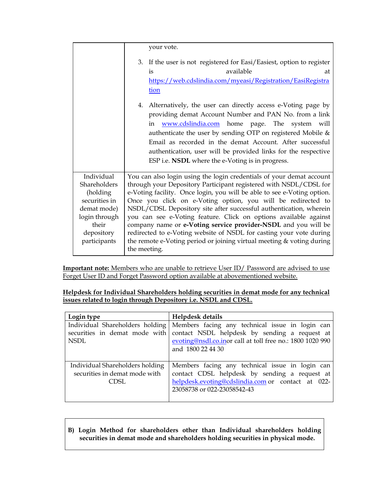|                                                                                                                | your vote.                                                                                                                                                                                                                                                                                                                                                                                                                                                                                                                                                              |  |
|----------------------------------------------------------------------------------------------------------------|-------------------------------------------------------------------------------------------------------------------------------------------------------------------------------------------------------------------------------------------------------------------------------------------------------------------------------------------------------------------------------------------------------------------------------------------------------------------------------------------------------------------------------------------------------------------------|--|
|                                                                                                                | 3. If the user is not registered for Easi/Easiest, option to register                                                                                                                                                                                                                                                                                                                                                                                                                                                                                                   |  |
|                                                                                                                | available<br>is<br>at                                                                                                                                                                                                                                                                                                                                                                                                                                                                                                                                                   |  |
|                                                                                                                | https://web.cdslindia.com/myeasi/Registration/EasiRegistra                                                                                                                                                                                                                                                                                                                                                                                                                                                                                                              |  |
|                                                                                                                | tion                                                                                                                                                                                                                                                                                                                                                                                                                                                                                                                                                                    |  |
|                                                                                                                | 4. Alternatively, the user can directly access e-Voting page by<br>providing demat Account Number and PAN No. from a link<br>in <b>www.cdslindia.com</b> home page. The system will<br>authenticate the user by sending OTP on registered Mobile &<br>Email as recorded in the demat Account. After successful<br>authentication, user will be provided links for the respective<br>ESP i.e. <b>NSDL</b> where the e-Voting is in progress.                                                                                                                             |  |
| Individual<br>Shareholders<br>(holding<br>securities in<br>demat mode)<br>login through<br>their<br>depository | You can also login using the login credentials of your demat account<br>through your Depository Participant registered with NSDL/CDSL for<br>e-Voting facility. Once login, you will be able to see e-Voting option.<br>Once you click on e-Voting option, you will be redirected to<br>NSDL/CDSL Depository site after successful authentication, wherein<br>you can see e-Voting feature. Click on options available against<br>company name or e-Voting service provider-NSDL and you will be<br>redirected to e-Voting website of NSDL for casting your vote during |  |
| participants                                                                                                   | the remote e-Voting period or joining virtual meeting & voting during<br>the meeting.                                                                                                                                                                                                                                                                                                                                                                                                                                                                                   |  |

**Important note:** Members who are unable to retrieve User ID/ Password are advised to use Forget User ID and Forget Password option available at abovementioned website.

**Helpdesk for Individual Shareholders holding securities in demat mode for any technical issues related to login through Depository i.e. NSDL and CDSL.** 

| Login type                                                               | Helpdesk details                                                                                                                                                                                                                                   |
|--------------------------------------------------------------------------|----------------------------------------------------------------------------------------------------------------------------------------------------------------------------------------------------------------------------------------------------|
| NSDL                                                                     | Individual Shareholders holding   Members facing any technical issue in login can<br>securities in demat mode with contact NSDL helpdesk by sending a request at<br>evoting@nsdl.co.inor call at toll free no.: 1800 1020 990<br>and 1800 22 44 30 |
| Individual Shareholders holding<br>securities in demat mode with<br>CDSL | Members facing any technical issue in login can<br>contact CDSL helpdesk by sending a request at<br>helpdesk.evoting@cdslindia.com or contact at 022-<br>23058738 or 022-23058542-43                                                               |

# **B) Login Method for shareholders other than Individual shareholders holding securities in demat mode and shareholders holding securities in physical mode.**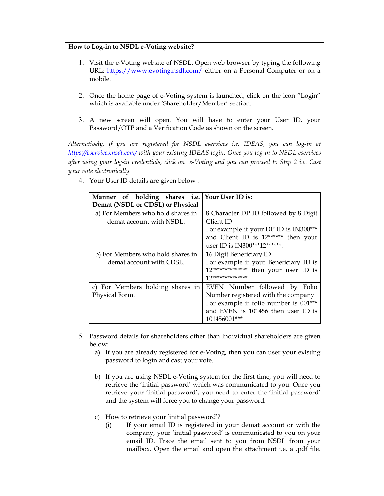# **How to Log-in to NSDL e-Voting website?**

- 1. Visit the e-Voting website of NSDL. Open web browser by typing the following URL: https://www.evoting.nsdl.com/ either on a Personal Computer or on a mobile.
- 2. Once the home page of e-Voting system is launched, click on the icon "Login" which is available under 'Shareholder/Member' section.
- 3. A new screen will open. You will have to enter your User ID, your Password/OTP and a Verification Code as shown on the screen.

*Alternatively, if you are registered for NSDL eservices i.e. IDEAS, you can log-in at https://eservices.nsdl.com/ with your existing IDEAS login. Once you log-in to NSDL eservices after using your log-in credentials, click on e-Voting and you can proceed to Step 2 i.e. Cast your vote electronically.*

- **Manner of holding shares i.e. Demat (NSDL or CDSL) or Physical Your User ID is:**  a) For Members who hold shares in demat account with NSDL. 8 Character DP ID followed by 8 Digit Client ID For example if your DP ID is IN300\*\*\* and Client ID is 12\*\*\*\*\*\* then your user ID is IN300\*\*\*12\*\*\*\*\*\*. b) For Members who hold shares in demat account with CDSL. 16 Digit Beneficiary ID For example if your Beneficiary ID is 12\*\*\*\*\*\*\*\*\*\*\*\*\*\* then your user ID is 12\*\*\*\*\*\*\*\*\*\*\*\*\*\* c) For Members holding shares in Physical Form. EVEN Number followed by Folio Number registered with the company For example if folio number is 001\*\*\* and EVEN is 101456 then user ID is 101456001\*\*\*
- 4. Your User ID details are given below :

- 5. Password details for shareholders other than Individual shareholders are given below:
	- a) If you are already registered for e-Voting, then you can user your existing password to login and cast your vote.
	- b) If you are using NSDL e-Voting system for the first time, you will need to retrieve the 'initial password' which was communicated to you. Once you retrieve your 'initial password', you need to enter the 'initial password' and the system will force you to change your password.
	- c) How to retrieve your 'initial password'?
		- (i) If your email ID is registered in your demat account or with the company, your 'initial password' is communicated to you on your email ID. Trace the email sent to you from NSDL from your mailbox. Open the email and open the attachment i.e. a .pdf file.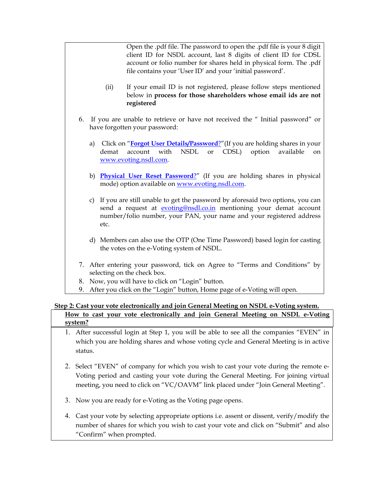Open the .pdf file. The password to open the .pdf file is your 8 digit client ID for NSDL account, last 8 digits of client ID for CDSL account or folio number for shares held in physical form. The .pdf file contains your 'User ID' and your 'initial password'.

- (ii) If your email ID is not registered, please follow steps mentioned below in **process for those shareholders whose email ids are not registered**
- 6. If you are unable to retrieve or have not received the " Initial password" or have forgotten your password:
	- a) Click on "**Forgot User Details/Password**?"(If you are holding shares in your demat account with NSDL or CDSL) option available on www.evoting.nsdl.com.
	- b) **Physical User Reset Password**?" (If you are holding shares in physical mode) option available on www.evoting.nsdl.com.
	- c) If you are still unable to get the password by aforesaid two options, you can send a request at evoting@nsdl.co.in mentioning your demat account number/folio number, your PAN, your name and your registered address etc.
	- d) Members can also use the OTP (One Time Password) based login for casting the votes on the e-Voting system of NSDL.
- 7. After entering your password, tick on Agree to "Terms and Conditions" by selecting on the check box.
- 8. Now, you will have to click on "Login" button.
- 9. After you click on the "Login" button, Home page of e-Voting will open.

#### **Step 2: Cast your vote electronically and join General Meeting on NSDL e-Voting system. How to cast your vote electronically and join General Meeting on NSDL e-Voting system?**

- 1. After successful login at Step 1, you will be able to see all the companies "EVEN" in which you are holding shares and whose voting cycle and General Meeting is in active status.
- 2. Select "EVEN" of company for which you wish to cast your vote during the remote e-Voting period and casting your vote during the General Meeting. For joining virtual meeting, you need to click on "VC/OAVM" link placed under "Join General Meeting".
- 3. Now you are ready for e-Voting as the Voting page opens.
- 4. Cast your vote by selecting appropriate options i.e. assent or dissent, verify/modify the number of shares for which you wish to cast your vote and click on "Submit" and also "Confirm" when prompted.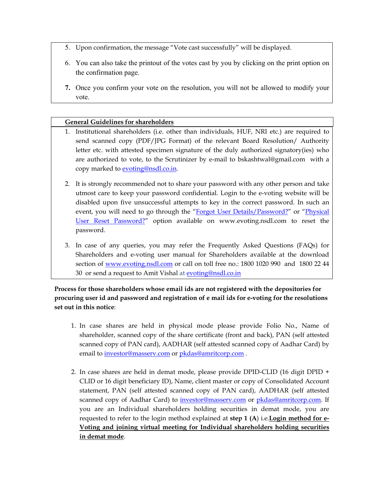- 5. Upon confirmation, the message "Vote cast successfully" will be displayed.
- 6. You can also take the printout of the votes cast by you by clicking on the print option on the confirmation page.
- **7.** Once you confirm your vote on the resolution, you will not be allowed to modify your vote.

# **General Guidelines for shareholders**

- 1. Institutional shareholders (i.e. other than individuals, HUF, NRI etc.) are required to send scanned copy (PDF/JPG Format) of the relevant Board Resolution/ Authority letter etc. with attested specimen signature of the duly authorized signatory(ies) who are authorized to vote, to the Scrutinizer by e-mail to bskashtwal@gmail.com with a copy marked to evoting@nsdl.co.in.
- 2. It is strongly recommended not to share your password with any other person and take utmost care to keep your password confidential. Login to the e-voting website will be disabled upon five unsuccessful attempts to key in the correct password. In such an event, you will need to go through the "Forgot User Details/Password?" or "Physical User Reset Password?" option available on www.evoting.nsdl.com to reset the password.
- 3. In case of any queries, you may refer the Frequently Asked Questions (FAQs) for Shareholders and e-voting user manual for Shareholders available at the download section of www.evoting.nsdl.com or call on toll free no.: 1800 1020 990 and 1800 22 44 30 or send a request to Amit Vishal at evoting@nsdl.co.in

# **Process for those shareholders whose email ids are not registered with the depositories for procuring user id and password and registration of e mail ids for e-voting for the resolutions set out in this notice**:

- 1. In case shares are held in physical mode please provide Folio No., Name of shareholder, scanned copy of the share certificate (front and back), PAN (self attested scanned copy of PAN card), AADHAR (self attested scanned copy of Aadhar Card) by email to investor@masserv.com or pkdas@amritcorp.com .
- 2. In case shares are held in demat mode, please provide DPID-CLID (16 digit DPID + CLID or 16 digit beneficiary ID), Name, client master or copy of Consolidated Account statement, PAN (self attested scanned copy of PAN card), AADHAR (self attested scanned copy of Aadhar Card) to investor@masserv.com or pkdas@amritcorp.com. If you are an Individual shareholders holding securities in demat mode, you are requested to refer to the login method explained at **step 1 (A**) i.e.**Login method for e-Voting and joining virtual meeting for Individual shareholders holding securities in demat mode**.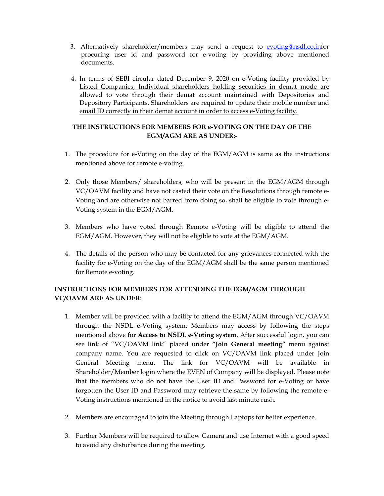- 3. Alternatively shareholder/members may send a request to evoting@nsdl.co.infor procuring user id and password for e-voting by providing above mentioned documents.
- 4. In terms of SEBI circular dated December 9, 2020 on e-Voting facility provided by Listed Companies, Individual shareholders holding securities in demat mode are allowed to vote through their demat account maintained with Depositories and Depository Participants. Shareholders are required to update their mobile number and email ID correctly in their demat account in order to access e-Voting facility.

# **THE INSTRUCTIONS FOR MEMBERS FOR e-VOTING ON THE DAY OF THE EGM/AGM ARE AS UNDER:-**

- 1. The procedure for e-Voting on the day of the EGM/AGM is same as the instructions mentioned above for remote e-voting.
- 2. Only those Members/ shareholders, who will be present in the EGM/AGM through VC/OAVM facility and have not casted their vote on the Resolutions through remote e-Voting and are otherwise not barred from doing so, shall be eligible to vote through e-Voting system in the EGM/AGM.
- 3. Members who have voted through Remote e-Voting will be eligible to attend the EGM/AGM. However, they will not be eligible to vote at the EGM/AGM.
- 4. The details of the person who may be contacted for any grievances connected with the facility for e-Voting on the day of the EGM/AGM shall be the same person mentioned for Remote e-voting.

# **INSTRUCTIONS FOR MEMBERS FOR ATTENDING THE EGM/AGM THROUGH VC/OAVM ARE AS UNDER:**

- 1. Member will be provided with a facility to attend the EGM/AGM through VC/OAVM through the NSDL e-Voting system. Members may access by following the steps mentioned above for **Access to NSDL e-Voting system**. After successful login, you can see link of "VC/OAVM link" placed under **"Join General meeting"** menu against company name. You are requested to click on VC/OAVM link placed under Join General Meeting menu. The link for VC/OAVM will be available in Shareholder/Member login where the EVEN of Company will be displayed. Please note that the members who do not have the User ID and Password for e-Voting or have forgotten the User ID and Password may retrieve the same by following the remote e-Voting instructions mentioned in the notice to avoid last minute rush.
- 2. Members are encouraged to join the Meeting through Laptops for better experience.
- 3. Further Members will be required to allow Camera and use Internet with a good speed to avoid any disturbance during the meeting.